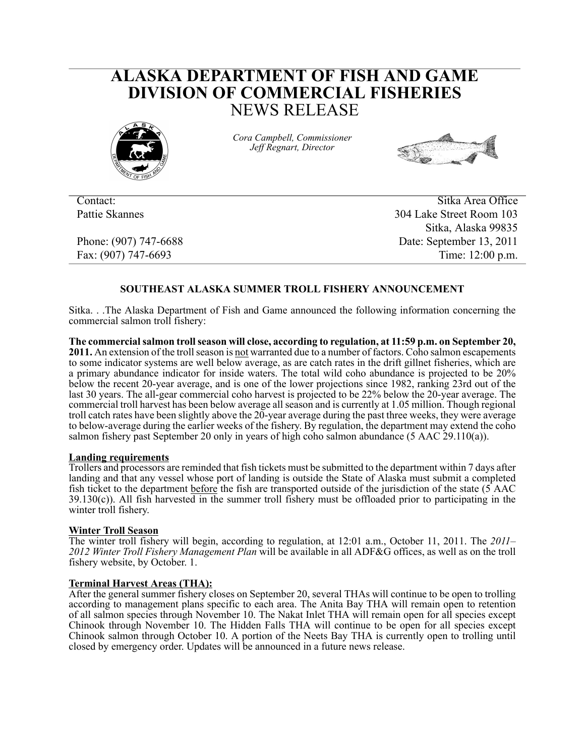# **ALASKA DEPARTMENT OF FISH AND GAME DIVISION OF COMMERCIAL FISHERIES** NEWS RELEASE



*Cora Campbell, Commissioner Jeff Regnart, Director*



Contact: Sitka Area Office Pattie Skannes 304 Lake Street Room 103 Sitka, Alaska 99835 Phone: (907) 747-6688 Date: September 13, 2011 Fax: (907) 747-6693 Time: 12:00 p.m.

# **SOUTHEAST ALASKA SUMMER TROLL FISHERY ANNOUNCEMENT**

Sitka. . .The Alaska Department of Fish and Game announced the following information concerning the commercial salmon troll fishery:

**The commercial salmon troll season will close, according to regulation, at 11:59 p.m. on September 20, 2011.** An extension of the troll season is not warranted due to a number of factors. Coho salmon escapements to some indicator systems are well below average, as are catch rates in the drift gillnet fisheries, which are a primary abundance indicator for inside waters. The total wild coho abundance is projected to be 20% below the recent 20-year average, and is one of the lower projections since 1982, ranking 23rd out of the last 30 years. The all-gear commercial coho harvest is projected to be 22% below the 20-year average. The commercial troll harvest has been below average all season and is currently at 1.05 million. Though regional troll catch rates have been slightly above the 20-year average during the past three weeks, they were average to below-average during the earlier weeks of the fishery. By regulation, the department may extend the coho salmon fishery past September 20 only in years of high coho salmon abundance (5 AAC 29.110(a)).

#### **Landing requirements**

Trollers and processors are reminded that fish tickets must be submitted to the department within 7 days after landing and that any vessel whose port of landing is outside the State of Alaska must submit a completed fish ticket to the department before the fish are transported outside of the jurisdiction of the state (5 AAC  $39.130(c)$ ). All fish harvested in the summer troll fishery must be offloaded prior to participating in the winter troll fishery.

## **Winter Troll Season**

The winter troll fishery will begin, according to regulation, at 12:01 a.m., October 11, 2011. The *2011– 2012 Winter Troll Fishery Management Plan* will be available in all ADF&G offices, as well as on the troll fishery website, by October. 1.

## **Terminal Harvest Areas (THA):**

After the general summer fishery closes on September 20, several THAs will continue to be open to trolling according to management plans specific to each area. The Anita Bay THA will remain open to retention of all salmon species through November 10. The Nakat Inlet THA will remain open for all species except Chinook through November 10. The Hidden Falls THA will continue to be open for all species except Chinook salmon through October 10. A portion of the Neets Bay THA is currently open to trolling until closed by emergency order. Updates will be announced in a future news release.